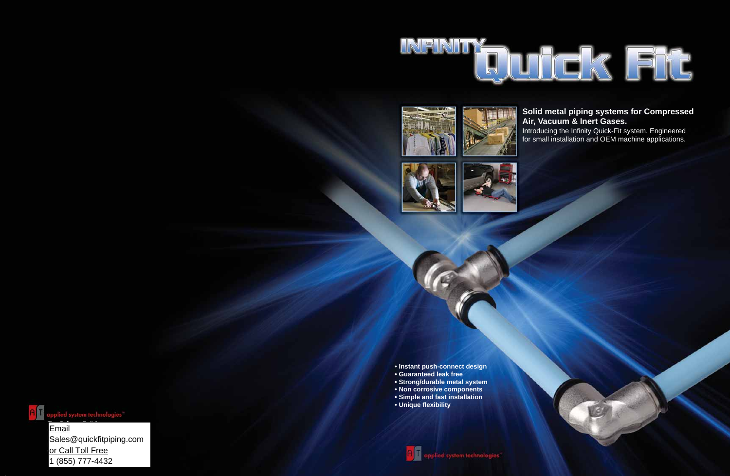## **Solid metal piping systems for Compressed Air, Vacuum & Inert Gases.**

Introducing the Infinity Quick-Fit system. Engineered for small installation and OEM machine applications.

The California Building and California Building and California Building and California Building and California<br>The California Building and California Building and California Building and California Building and California email West Kinger Avenue, Suite 135  $\blacktriangle$ Sales@quickfitpiping.com P. 704.947.6966 or Call Toll Free 1 (855) 777-4432











- **Instant push-connect design**
- **Guaranteed leak free**
- **Strong/durable metal system**
- **Non corrosive components**
- **Simple and fast installation**
- **Unique flexibility**